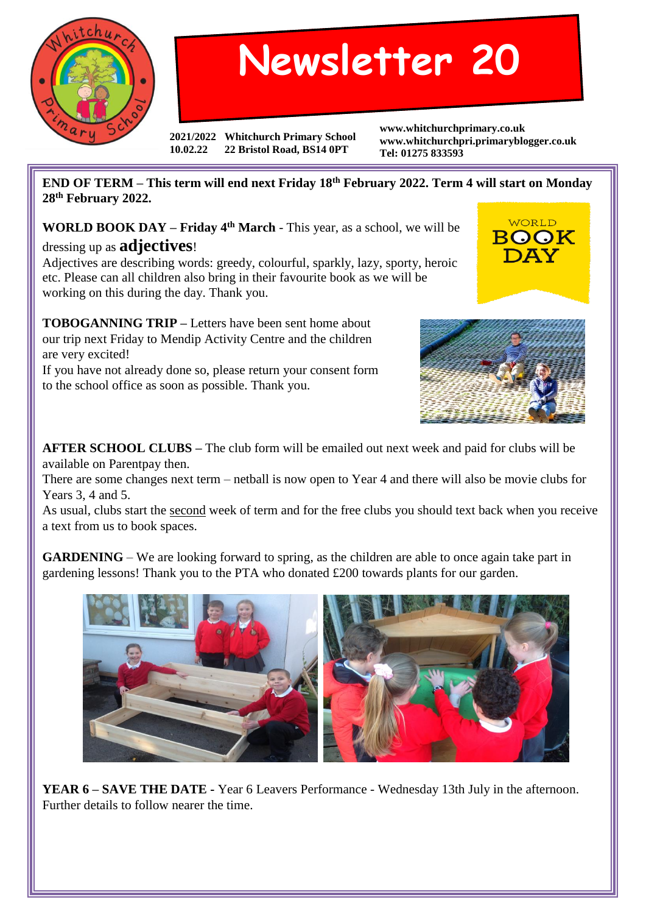

## **Newsletter 20**

**2021/2022 Whitchurch Primary School 10.02.22 22 Bristol Road, BS14 0PT**

**www.whitchurchprimary.co.uk www.whitchurchpri.primaryblogger.co.uk Tel: 01275 833593**

**END OF TERM – This term will end next Friday 18th February 2022. Term 4 will start on Monday 28th February 2022.**

**WORLD BOOK DAY – Friday 4th March** - This year, as a school, we will be dressing up as **adjectives**!

Adjectives are describing words: greedy, colourful, sparkly, lazy, sporty, heroic etc. Please can all children also bring in their favourite book as we will be working on this during the day. Thank you.

**TOBOGANNING TRIP –** Letters have been sent home about our trip next Friday to Mendip Activity Centre and the children are very excited!

If you have not already done so, please return your consent form to the school office as soon as possible. Thank you.



**WORLD** BOOK DAY

**AFTER SCHOOL CLUBS –** The club form will be emailed out next week and paid for clubs will be available on Parentpay then.

There are some changes next term – netball is now open to Year 4 and there will also be movie clubs for Years 3, 4 and 5.

As usual, clubs start the second week of term and for the free clubs you should text back when you receive a text from us to book spaces.

**GARDENING** – We are looking forward to spring, as the children are able to once again take part in gardening lessons! Thank you to the PTA who donated £200 towards plants for our garden.



**YEAR 6 – SAVE THE DATE -** Year 6 Leavers Performance - Wednesday 13th July in the afternoon. Further details to follow nearer the time.